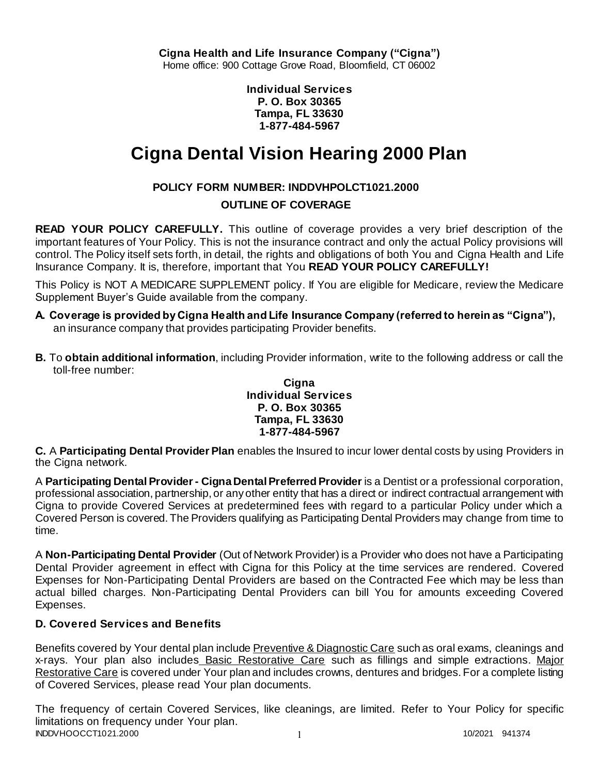**Individual Services P. O. Box 30365 Tampa, FL 33630 1-877-484-5967**

# **Cigna Dental Vision Hearing 2000 Plan**

# **POLICY FORM NUMBER: INDDVHPOLCT1021.2000**

# **OUTLINE OF COVERAGE**

**READ YOUR POLICY CAREFULLY.** This outline of coverage provides a very brief description of the important features of Your Policy. This is not the insurance contract and only the actual Policy provisions will control. The Policy itself sets forth, in detail, the rights and obligations of both You and Cigna Health and Life Insurance Company. It is, therefore, important that You **READ YOUR POLICY CAREFULLY!** 

This Policy is NOT A MEDICARE SUPPLEMENT policy. If You are eligible for Medicare, review the Medicare Supplement Buyer's Guide available from the company.

- **A. Coverage is provided by Cigna Health and Life Insurance Company (referred to herein as "Cigna"),**  an insurance company that provides participating Provider benefits.
- **B.** To **obtain additional information**, including Provider information, write to the following address or call the toll-free number:

### **Cigna Individual Services P. O. Box 30365 Tampa, FL 33630 1-877-484-5967**

**C.** A **Participating Dental Provider Plan** enables the Insured to incur lower dental costs by using Providers in the Cigna network.

A **Participating Dental Provider - Cigna Dental Preferred Provider** is a Dentist or a professional corporation, professional association, partnership, or any other entity that has a direct or indirect contractual arrangement with Cigna to provide Covered Services at predetermined fees with regard to a particular Policy under which a Covered Person is covered. The Providers qualifying as Participating Dental Providers may change from time to time.

A **Non-Participating Dental Provider** (Out of Network Provider) is a Provider who does not have a Participating Dental Provider agreement in effect with Cigna for this Policy at the time services are rendered. Covered Expenses for Non-Participating Dental Providers are based on the Contracted Fee which may be less than actual billed charges. Non-Participating Dental Providers can bill You for amounts exceeding Covered Expenses.

# **D. Covered Services and Benefits**

Benefits covered by Your dental plan include Preventive & Diagnostic Care such as oral exams, cleanings and x-rays. Your plan also includes Basic Restorative Care such as fillings and simple extractions. Major Restorative Care is covered under Your plan and includes crowns, dentures and bridges. For a complete listing of Covered Services, please read Your plan documents.

INDDVHOOCCT1021.2000 1 1 1 200 1 1 200 1 200 1 200 1 200 1 200 1 200 1 200 1 200 1 200 1 200 1 200 1 200 1 200 The frequency of certain Covered Services, like cleanings, are limited. Refer to Your Policy for specific limitations on frequency under Your plan.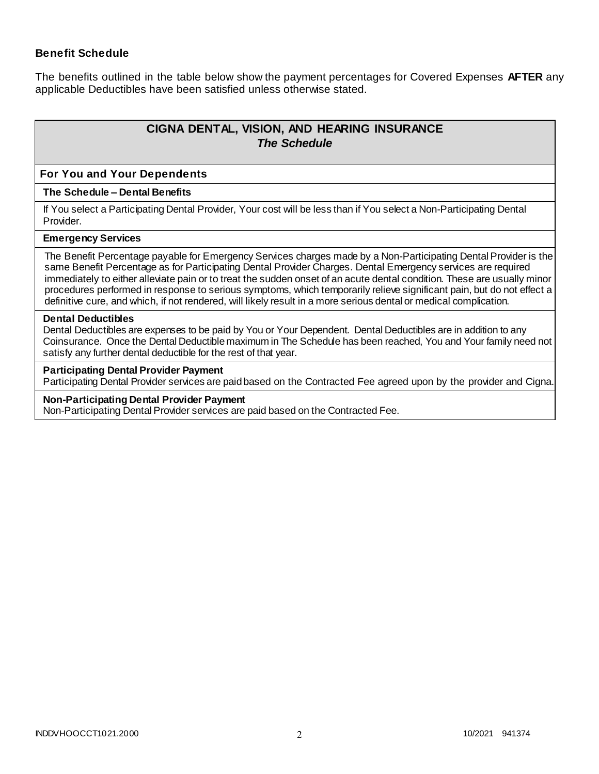### **Benefit Schedule**

The benefits outlined in the table below show the payment percentages for Covered Expenses **AFTER** any applicable Deductibles have been satisfied unless otherwise stated.

# **CIGNA DENTAL, VISION, AND HEARING INSURANCE** *The Schedule*

#### **For You and Your Dependents**

#### **The Schedule – Dental Benefits**

If You select a Participating Dental Provider, Your cost will be less than if You select a Non-Participating Dental Provider.

#### **Emergency Services**

The Benefit Percentage payable for Emergency Services charges made by a Non-Participating Dental Provider is the same Benefit Percentage as for Participating Dental Provider Charges. Dental Emergency services are required immediately to either alleviate pain or to treat the sudden onset of an acute dental condition. These are usually minor procedures performed in response to serious symptoms, which temporarily relieve significant pain, but do not effect a definitive cure, and which, if not rendered, will likely result in a more serious dental or medical complication.

#### **Dental Deductibles**

Dental Deductibles are expenses to be paid by You or Your Dependent. Dental Deductibles are in addition to any Coinsurance. Once the Dental Deductible maximum in The Schedule has been reached, You and Your family need not satisfy any further dental deductible for the rest of that year.

#### **Participating Dental Provider Payment**

Participating Dental Provider services are paid based on the Contracted Fee agreed upon by the provider and Cigna.

#### **Non-Participating Dental Provider Payment**

Non-Participating Dental Provider services are paid based on the Contracted Fee.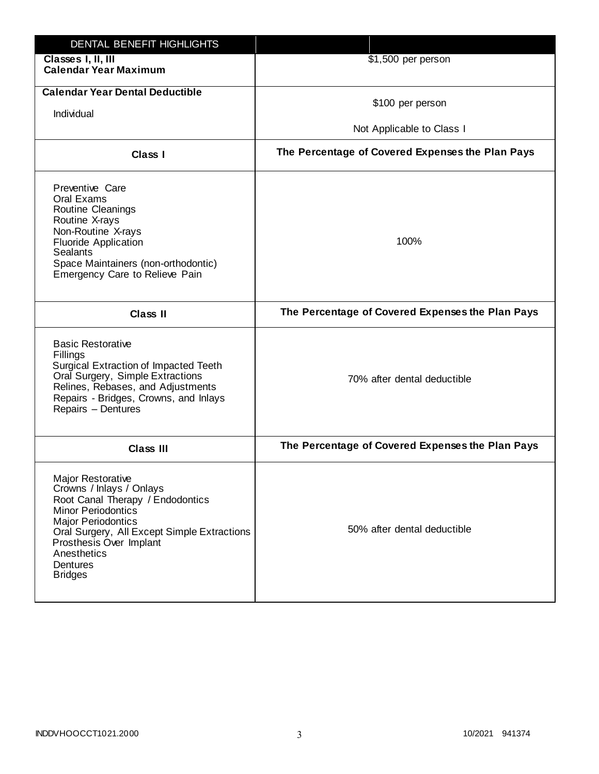| DENTAL BENEFIT HIGHLIGHTS                                                                                                                                                                                                                                          |                                                  |
|--------------------------------------------------------------------------------------------------------------------------------------------------------------------------------------------------------------------------------------------------------------------|--------------------------------------------------|
| Classes I, II, III<br><b>Calendar Year Maximum</b>                                                                                                                                                                                                                 | \$1,500 per person                               |
| <b>Calendar Year Dental Deductible</b><br>Individual                                                                                                                                                                                                               | \$100 per person<br>Not Applicable to Class I    |
| Class I                                                                                                                                                                                                                                                            | The Percentage of Covered Expenses the Plan Pays |
| Preventive Care<br>Oral Exams<br>Routine Cleanings<br>Routine X-rays<br>Non-Routine X-rays<br><b>Fluoride Application</b><br><b>Sealants</b><br>Space Maintainers (non-orthodontic)<br>Emergency Care to Relieve Pain                                              | 100%                                             |
| <b>Class II</b>                                                                                                                                                                                                                                                    | The Percentage of Covered Expenses the Plan Pays |
| <b>Basic Restorative</b><br>Fillings<br>Surgical Extraction of Impacted Teeth<br>Oral Surgery, Simple Extractions<br>Relines, Rebases, and Adjustments<br>Repairs - Bridges, Crowns, and Inlays<br>Repairs - Dentures                                              | 70% after dental deductible                      |
| <b>Class III</b>                                                                                                                                                                                                                                                   | The Percentage of Covered Expenses the Plan Pays |
| Major Restorative<br>Crowns / Inlays / Onlays<br>Root Canal Therapy / Endodontics<br><b>Minor Periodontics</b><br><b>Major Periodontics</b><br>Oral Surgery, All Except Simple Extractions<br>Prosthesis Over Implant<br>Anesthetics<br>Dentures<br><b>Bridges</b> | 50% after dental deductible                      |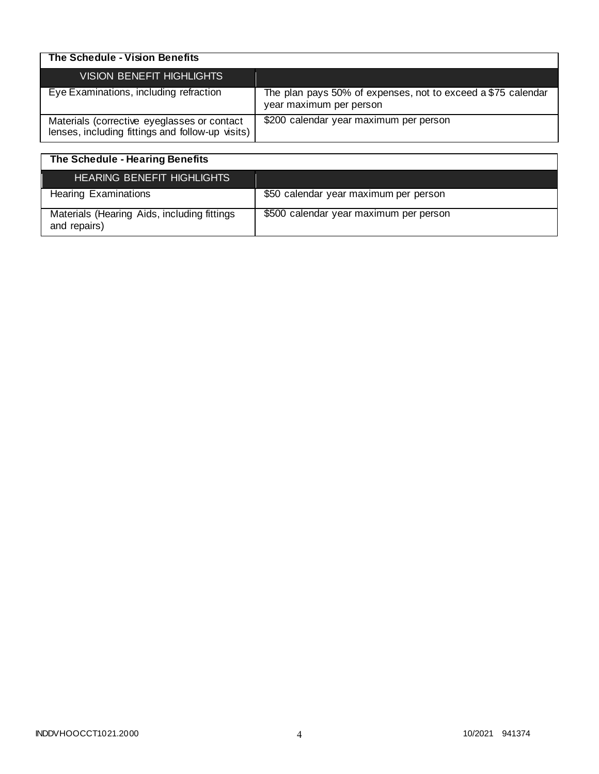| The Schedule - Vision Benefits                                                                  |                                                                                         |
|-------------------------------------------------------------------------------------------------|-----------------------------------------------------------------------------------------|
| VISION BENEFIT HIGHLIGHTS                                                                       |                                                                                         |
| Eye Examinations, including refraction                                                          | The plan pays 50% of expenses, not to exceed a \$75 calendar<br>year maximum per person |
| Materials (corrective eyeglasses or contact<br>lenses, including fittings and follow-up visits) | \$200 calendar year maximum per person                                                  |

| The Schedule - Hearing Benefits                             |                                        |
|-------------------------------------------------------------|----------------------------------------|
| <b>HEARING BENEFIT HIGHLIGHTS</b>                           |                                        |
| <b>Hearing Examinations</b>                                 | \$50 calendar year maximum per person  |
| Materials (Hearing Aids, including fittings<br>and repairs) | \$500 calendar year maximum per person |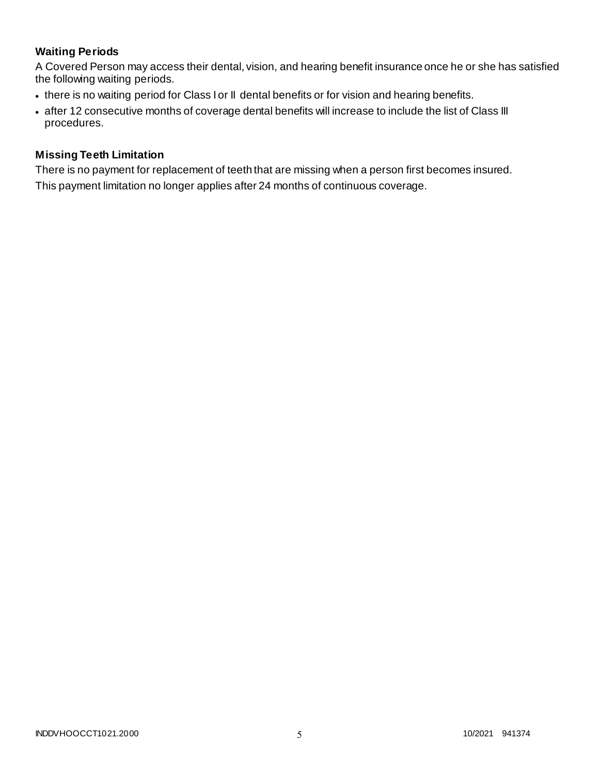# **Waiting Periods**

A Covered Person may access their dental, vision, and hearing benefit insurance once he or she has satisfied the following waiting periods.

- there is no waiting period for Class I or II dental benefits or for vision and hearing benefits.
- after 12 consecutive months of coverage dental benefits will increase to include the list of Class III procedures.

### **Missing Teeth Limitation**

There is no payment for replacement of teeth that are missing when a person first becomes insured. This payment limitation no longer applies after 24 months of continuous coverage.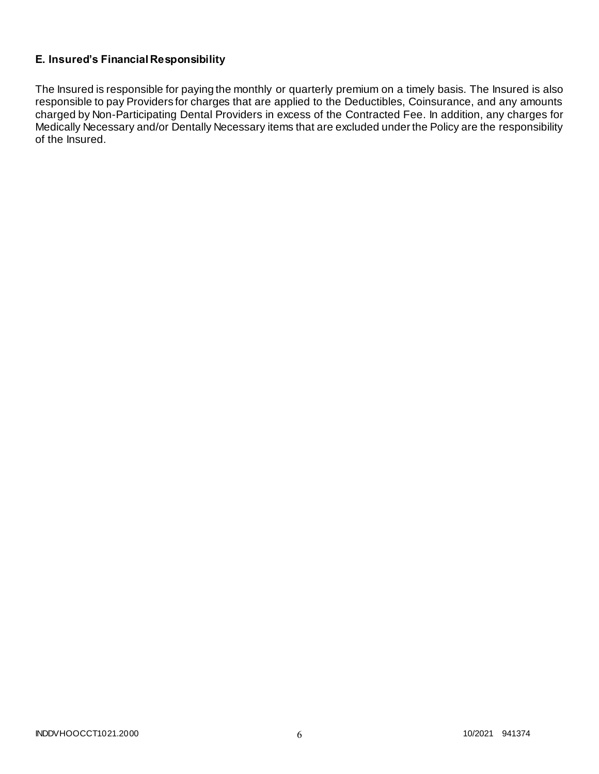# **E. Insured's Financial Responsibility**

The Insured is responsible for paying the monthly or quarterly premium on a timely basis. The Insured is also responsible to pay Providers for charges that are applied to the Deductibles, Coinsurance, and any amounts charged by Non-Participating Dental Providers in excess of the Contracted Fee. In addition, any charges for Medically Necessary and/or Dentally Necessary items that are excluded under the Policy are the responsibility of the Insured.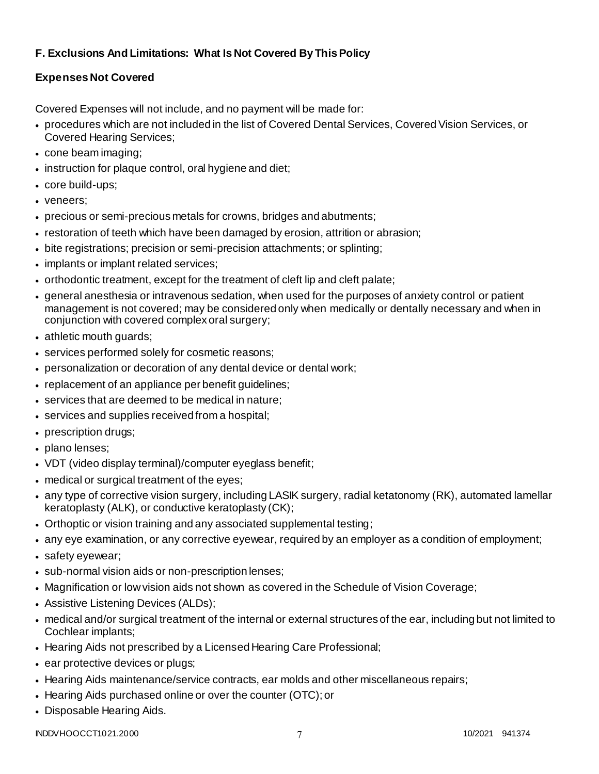# **F. Exclusions And Limitations: What Is Not Covered By This Policy**

# **Expenses Not Covered**

Covered Expenses will not include, and no payment will be made for:

- procedures which are not included in the list of Covered Dental Services, Covered Vision Services, or Covered Hearing Services;
- cone beam imaging;
- instruction for plaque control, oral hygiene and diet;
- core build-ups;
- veneers;
- precious or semi-precious metals for crowns, bridges and abutments;
- restoration of teeth which have been damaged by erosion, attrition or abrasion;
- bite registrations; precision or semi-precision attachments; or splinting;
- implants or implant related services;
- orthodontic treatment, except for the treatment of cleft lip and cleft palate;
- general anesthesia or intravenous sedation, when used for the purposes of anxiety control or patient management is not covered; may be considered only when medically or dentally necessary and when in conjunction with covered complex oral surgery;
- athletic mouth guards;
- services performed solely for cosmetic reasons;
- personalization or decoration of any dental device or dental work;
- replacement of an appliance per benefit guidelines;
- services that are deemed to be medical in nature;
- services and supplies received from a hospital;
- prescription drugs;
- plano lenses:
- VDT (video display terminal)/computer eyeglass benefit;
- medical or surgical treatment of the eyes;
- any type of corrective vision surgery, including LASIK surgery, radial ketatonomy (RK), automated lamellar keratoplasty (ALK), or conductive keratoplasty (CK);
- Orthoptic or vision training and any associated supplemental testing;
- any eye examination, or any corrective eyewear, required by an employer as a condition of employment;
- safety eyewear;
- sub-normal vision aids or non-prescription lenses;
- Magnification or low vision aids not shown as covered in the Schedule of Vision Coverage;
- Assistive Listening Devices (ALDs);
- medical and/or surgical treatment of the internal or external structures of the ear, including but not limited to Cochlear implants;
- Hearing Aids not prescribed by a Licensed Hearing Care Professional;
- ear protective devices or plugs;
- Hearing Aids maintenance/service contracts, ear molds and other miscellaneous repairs;
- Hearing Aids purchased online or over the counter (OTC); or
- Disposable Hearing Aids.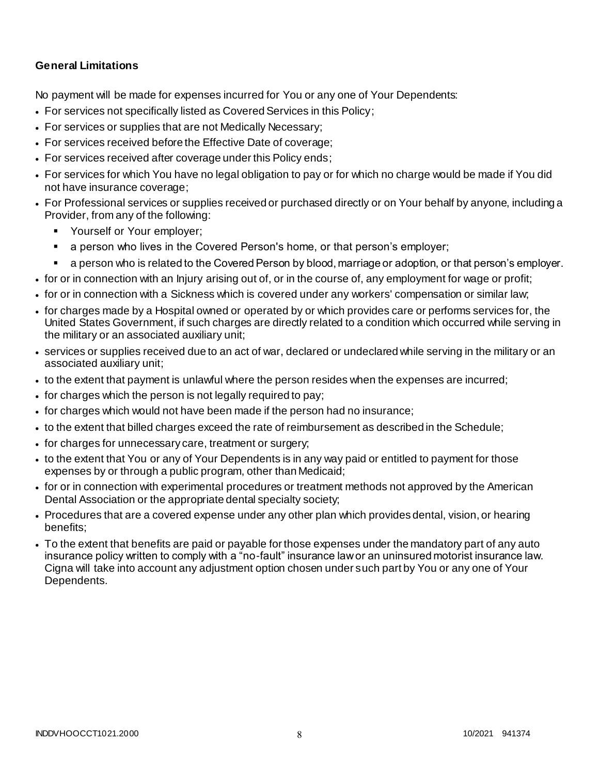### **General Limitations**

No payment will be made for expenses incurred for You or any one of Your Dependents:

- For services not specifically listed as Covered Services in this Policy;
- For services or supplies that are not Medically Necessary;
- For services received before the Effective Date of coverage;
- For services received after coverage under this Policy ends;
- For services for which You have no legal obligation to pay or for which no charge would be made if You did not have insurance coverage;
- For Professional services or supplies received or purchased directly or on Your behalf by anyone, including a Provider, from any of the following:
	- **Yourself or Your employer;**
	- a person who lives in the Covered Person's home, or that person's employer;
	- a person who is related to the Covered Person by blood, marriage or adoption, or that person's employer.
- for or in connection with an Injury arising out of, or in the course of, any employment for wage or profit;
- for or in connection with a Sickness which is covered under any workers' compensation or similar law;
- for charges made by a Hospital owned or operated by or which provides care or performs services for, the United States Government, if such charges are directly related to a condition which occurred while serving in the military or an associated auxiliary unit;
- services or supplies received due to an act of war, declared or undeclared while serving in the military or an associated auxiliary unit;
- to the extent that payment is unlawful where the person resides when the expenses are incurred;
- for charges which the person is not legally required to pay;
- for charges which would not have been made if the person had no insurance;
- to the extent that billed charges exceed the rate of reimbursement as described in the Schedule;
- for charges for unnecessary care, treatment or surgery;
- to the extent that You or any of Your Dependents is in any way paid or entitled to payment for those expenses by or through a public program, other than Medicaid;
- for or in connection with experimental procedures or treatment methods not approved by the American Dental Association or the appropriate dental specialty society;
- Procedures that are a covered expense under any other plan which provides dental, vision, or hearing benefits;
- To the extent that benefits are paid or payable for those expenses under the mandatory part of any auto insurance policy written to comply with a "no-fault" insurance law or an uninsured motorist insurance law. Cigna will take into account any adjustment option chosen under such part by You or any one of Your Dependents.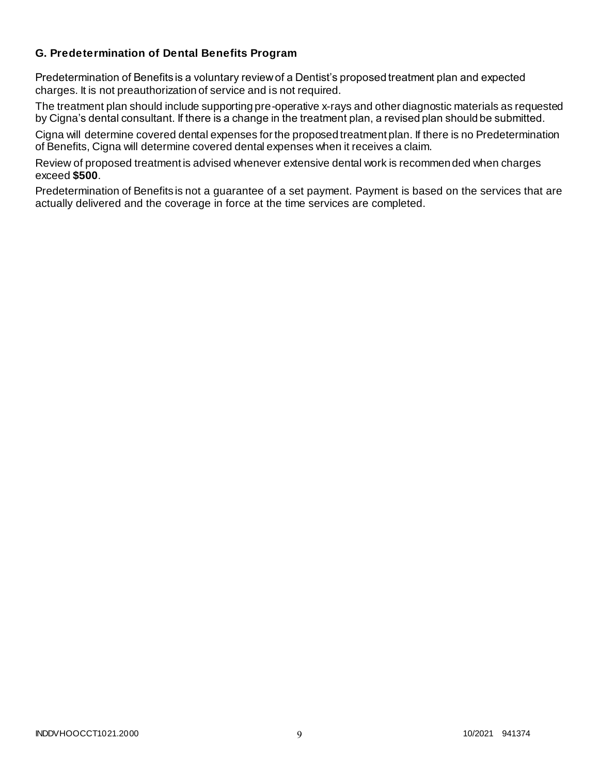### **G. Predetermination of Dental Benefits Program**

Predetermination of Benefits is a voluntary review of a Dentist's proposed treatment plan and expected charges. It is not preauthorization of service and is not required.

The treatment plan should include supporting pre-operative x-rays and other diagnostic materials as requested by Cigna's dental consultant. If there is a change in the treatment plan, a revised plan should be submitted.

Cigna will determine covered dental expenses for the proposed treatment plan. If there is no Predetermination of Benefits, Cigna will determine covered dental expenses when it receives a claim.

Review of proposed treatment is advised whenever extensive dental work is recommended when charges exceed **\$500**.

Predetermination of Benefits is not a guarantee of a set payment. Payment is based on the services that are actually delivered and the coverage in force at the time services are completed.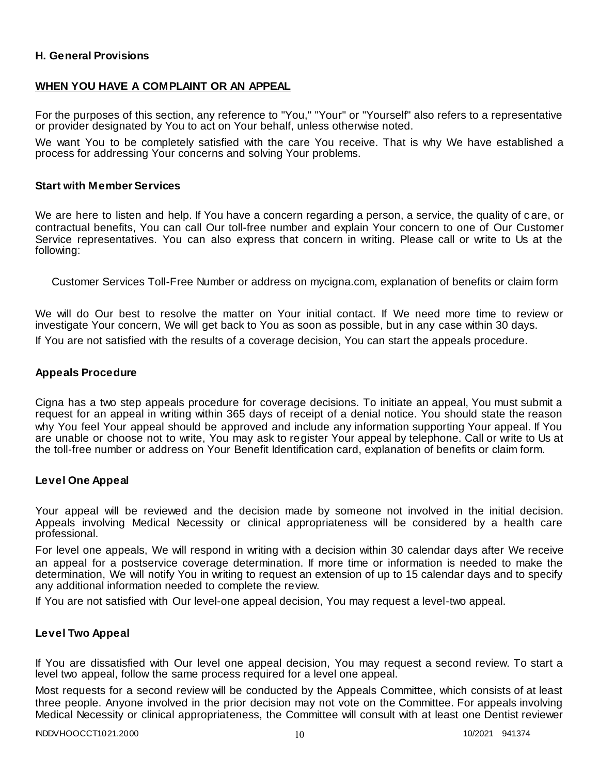### **H. General Provisions**

### **WHEN YOU HAVE A COMPLAINT OR AN APPEAL**

For the purposes of this section, any reference to "You," "Your" or "Yourself" also refers to a representative or provider designated by You to act on Your behalf, unless otherwise noted.

We want You to be completely satisfied with the care You receive. That is why We have established a process for addressing Your concerns and solving Your problems.

#### **Start with Member Services**

We are here to listen and help. If You have a concern regarding a person, a service, the quality of care, or contractual benefits, You can call Our toll-free number and explain Your concern to one of Our Customer Service representatives. You can also express that concern in writing. Please call or write to Us at the following:

Customer Services Toll-Free Number or address on mycigna.com, explanation of benefits or claim form

We will do Our best to resolve the matter on Your initial contact. If We need more time to review or investigate Your concern, We will get back to You as soon as possible, but in any case within 30 days.

If You are not satisfied with the results of a coverage decision, You can start the appeals procedure.

#### **Appeals Procedure**

Cigna has a two step appeals procedure for coverage decisions. To initiate an appeal, You must submit a request for an appeal in writing within 365 days of receipt of a denial notice. You should state the reason why You feel Your appeal should be approved and include any information supporting Your appeal. If You are unable or choose not to write, You may ask to register Your appeal by telephone. Call or write to Us at the toll-free number or address on Your Benefit Identification card, explanation of benefits or claim form.

#### **Level One Appeal**

Your appeal will be reviewed and the decision made by someone not involved in the initial decision. Appeals involving Medical Necessity or clinical appropriateness will be considered by a health care professional.

For level one appeals, We will respond in writing with a decision within 30 calendar days after We receive an appeal for a postservice coverage determination. If more time or information is needed to make the determination, We will notify You in writing to request an extension of up to 15 calendar days and to specify any additional information needed to complete the review.

If You are not satisfied with Our level-one appeal decision, You may request a level-two appeal.

#### **Level Two Appeal**

If You are dissatisfied with Our level one appeal decision, You may request a second review. To start a level two appeal, follow the same process required for a level one appeal.

Most requests for a second review will be conducted by the Appeals Committee, which consists of at least three people. Anyone involved in the prior decision may not vote on the Committee. For appeals involving Medical Necessity or clinical appropriateness, the Committee will consult with at least one Dentist reviewer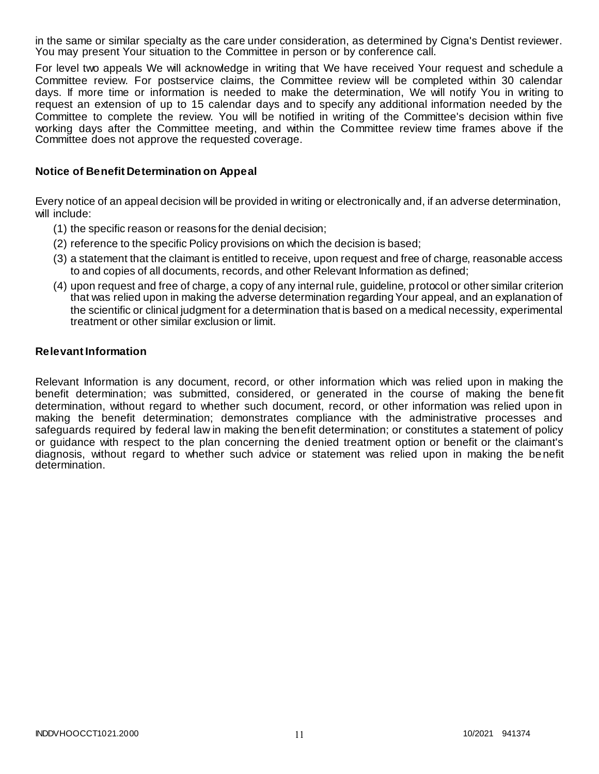in the same or similar specialty as the care under consideration, as determined by Cigna's Dentist reviewer. You may present Your situation to the Committee in person or by conference call.

For level two appeals We will acknowledge in writing that We have received Your request and schedule a Committee review. For postservice claims, the Committee review will be completed within 30 calendar days. If more time or information is needed to make the determination, We will notify You in writing to request an extension of up to 15 calendar days and to specify any additional information needed by the Committee to complete the review. You will be notified in writing of the Committee's decision within five working days after the Committee meeting, and within the Committee review time frames above if the Committee does not approve the requested coverage.

### **Notice of Benefit Determination on Appeal**

Every notice of an appeal decision will be provided in writing or electronically and, if an adverse determination, will include:

- (1) the specific reason or reasons for the denial decision;
- (2) reference to the specific Policy provisions on which the decision is based;
- (3) a statement that the claimant is entitled to receive, upon request and free of charge, reasonable access to and copies of all documents, records, and other Relevant Information as defined;
- (4) upon request and free of charge, a copy of any internal rule, guideline, protocol or other similar criterion that was relied upon in making the adverse determination regarding Your appeal, and an explanation of the scientific or clinical judgment for a determination that is based on a medical necessity, experimental treatment or other similar exclusion or limit.

#### **Relevant Information**

Relevant Information is any document, record, or other information which was relied upon in making the benefit determination; was submitted, considered, or generated in the course of making the bene fit determination, without regard to whether such document, record, or other information was relied upon in making the benefit determination; demonstrates compliance with the administrative processes and safeguards required by federal law in making the benefit determination; or constitutes a statement of policy or guidance with respect to the plan concerning the denied treatment option or benefit or the claimant's diagnosis, without regard to whether such advice or statement was relied upon in making the be nefit determination.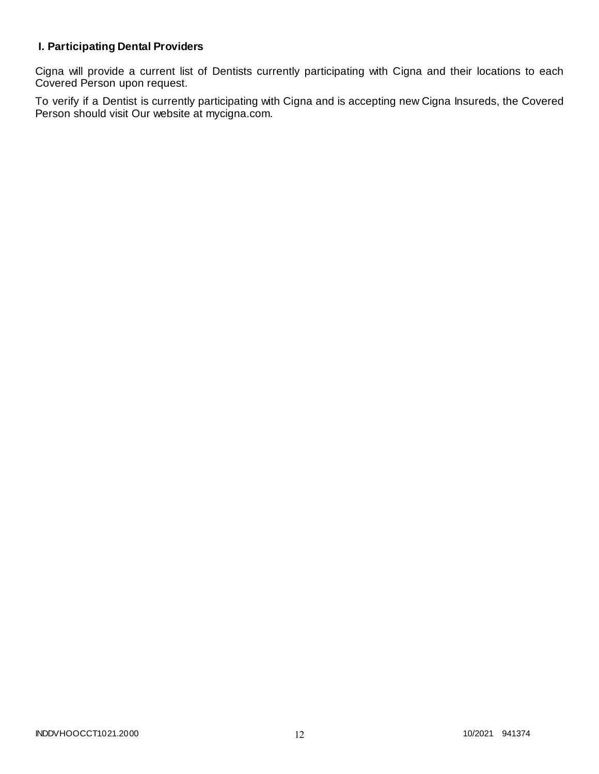# **I. Participating Dental Providers**

Cigna will provide a current list of Dentists currently participating with Cigna and their locations to each Covered Person upon request.

To verify if a Dentist is currently participating with Cigna and is accepting new Cigna Insureds, the Covered Person should visit Our website at mycigna.com.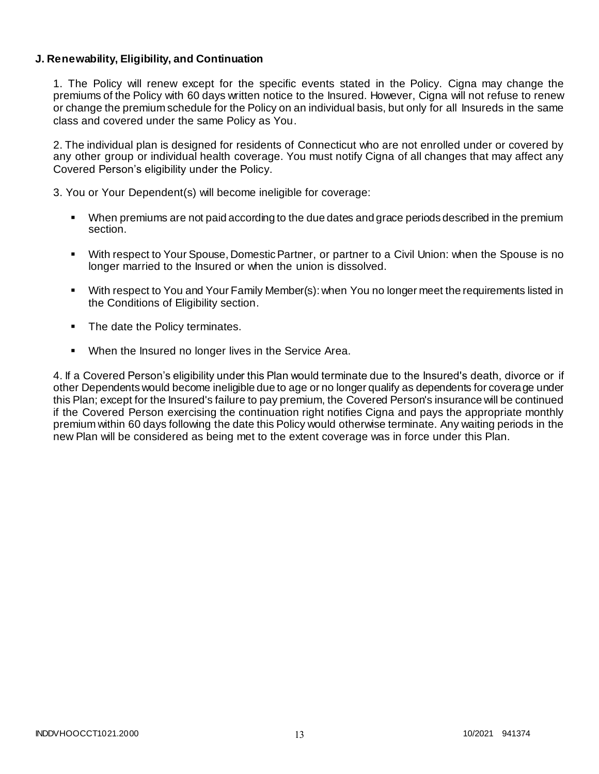### **J. Renewability, Eligibility, and Continuation**

1. The Policy will renew except for the specific events stated in the Policy. Cigna may change the premiums of the Policy with 60 days written notice to the Insured. However, Cigna will not refuse to renew or change the premium schedule for the Policy on an individual basis, but only for all Insureds in the same class and covered under the same Policy as You.

2. The individual plan is designed for residents of Connecticut who are not enrolled under or covered by any other group or individual health coverage. You must notify Cigna of all changes that may affect any Covered Person's eligibility under the Policy.

3. You or Your Dependent(s) will become ineligible for coverage:

- When premiums are not paid according to the due dates and grace periods described in the premium section.
- With respect to Your Spouse, Domestic Partner, or partner to a Civil Union: when the Spouse is no longer married to the Insured or when the union is dissolved.
- With respect to You and Your Family Member(s): when You no longer meet the requirements listed in the Conditions of Eligibility section.
- The date the Policy terminates.
- When the Insured no longer lives in the Service Area.

4. If a Covered Person's eligibility under this Plan would terminate due to the Insured's death, divorce or if other Dependents would become ineligible due to age or no longer qualify as dependents for coverage under this Plan; except for the Insured's failure to pay premium, the Covered Person's insurance will be continued if the Covered Person exercising the continuation right notifies Cigna and pays the appropriate monthly premium within 60 days following the date this Policy would otherwise terminate. Any waiting periods in the new Plan will be considered as being met to the extent coverage was in force under this Plan.